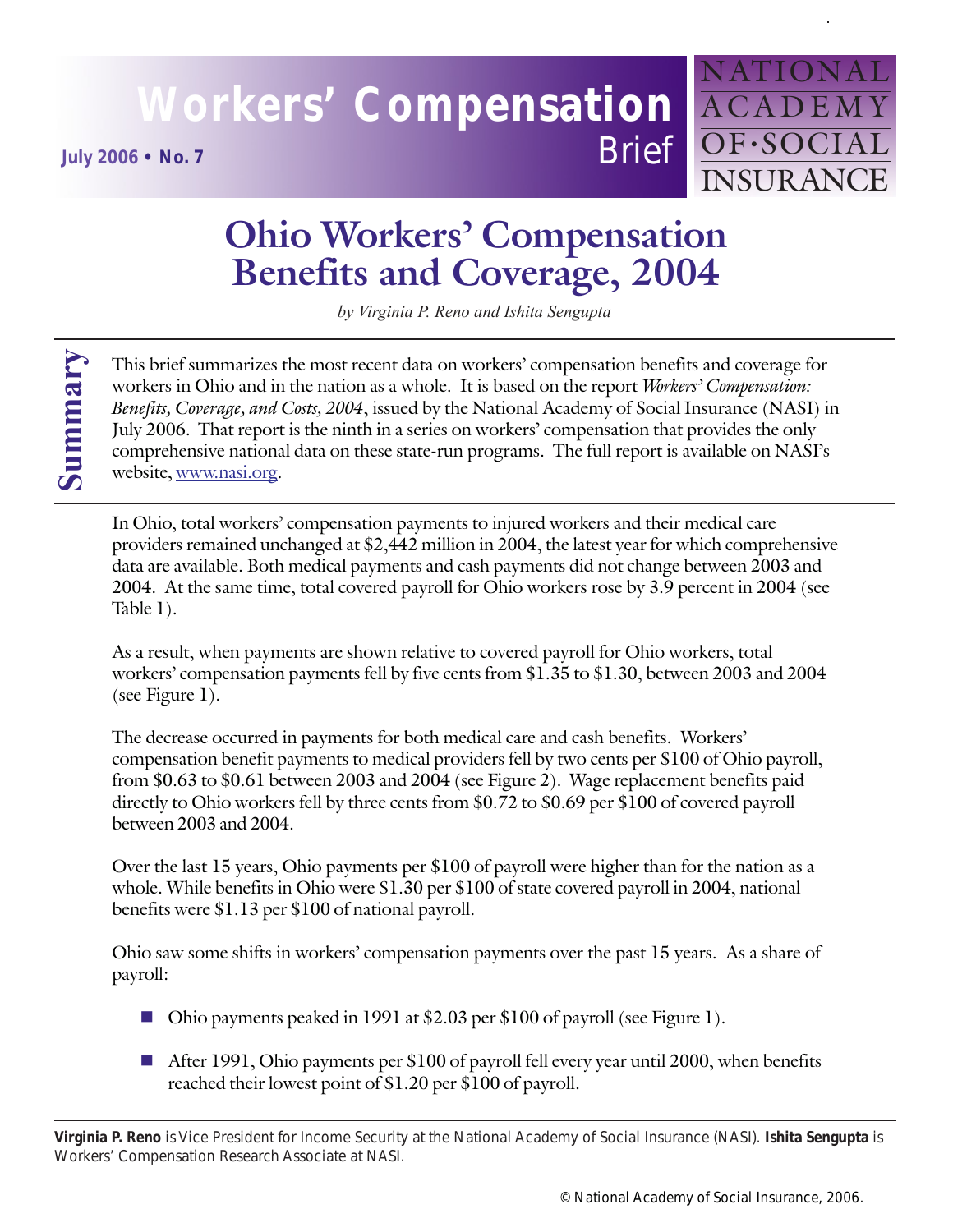## **Workers' Compensation** ACADEMY **July 2006 • No. 7** Brief **OF**•SOCIAL

# NATIOI INSURANCE

### **Ohio Workers' Compensation Benefits and Coverage, 2004**

*by Virginia P. Reno and Ishita Sengupta*

This brief summarizes the most recent data on workers' compensation benefits and coverage for workers in Ohio and in the nation as a whole. It is based on the report *Workers' Compensation: Benefits, Coverage, and Costs, 2004*, issued by the National Academy of Social Insurance (NASI) in July 2006. That report is the ninth in a series on workers' compensation that provides the only comprehensive national data on these state-run programs. The full report is available on NASI's website, www.nasi.org.

In Ohio, total workers' compensation payments to injured workers and their medical care providers remained unchanged at \$2,442 million in 2004, the latest year for which comprehensive data are available. Both medical payments and cash payments did not change between 2003 and 2004. At the same time, total covered payroll for Ohio workers rose by 3.9 percent in 2004 (see Table 1).

As a result, when payments are shown relative to covered payroll for Ohio workers, total workers' compensation payments fell by five cents from \$1.35 to \$1.30, between 2003 and 2004 (see Figure 1).

The decrease occurred in payments for both medical care and cash benefits. Workers' compensation benefit payments to medical providers fell by two cents per \$100 of Ohio payroll, from \$0.63 to \$0.61 between 2003 and 2004 (see Figure 2). Wage replacement benefits paid directly to Ohio workers fell by three cents from \$0.72 to \$0.69 per \$100 of covered payroll between 2003 and 2004.

Over the last 15 years, Ohio payments per \$100 of payroll were higher than for the nation as a whole. While benefits in Ohio were \$1.30 per \$100 of state covered payroll in 2004, national benefits were \$1.13 per \$100 of national payroll.

Ohio saw some shifts in workers' compensation payments over the past 15 years. As a share of payroll:

- Ohio payments peaked in 1991 at \$2.03 per \$100 of payroll (see Figure 1).
- After 1991, Ohio payments per \$100 of payroll fell every year until 2000, when benefits reached their lowest point of \$1.20 per \$100 of payroll.

**Virginia P. Reno** is Vice President for Income Security at the National Academy of Social Insurance (NASI). **Ishita Sengupta** is Workers' Compensation Research Associate at NASI.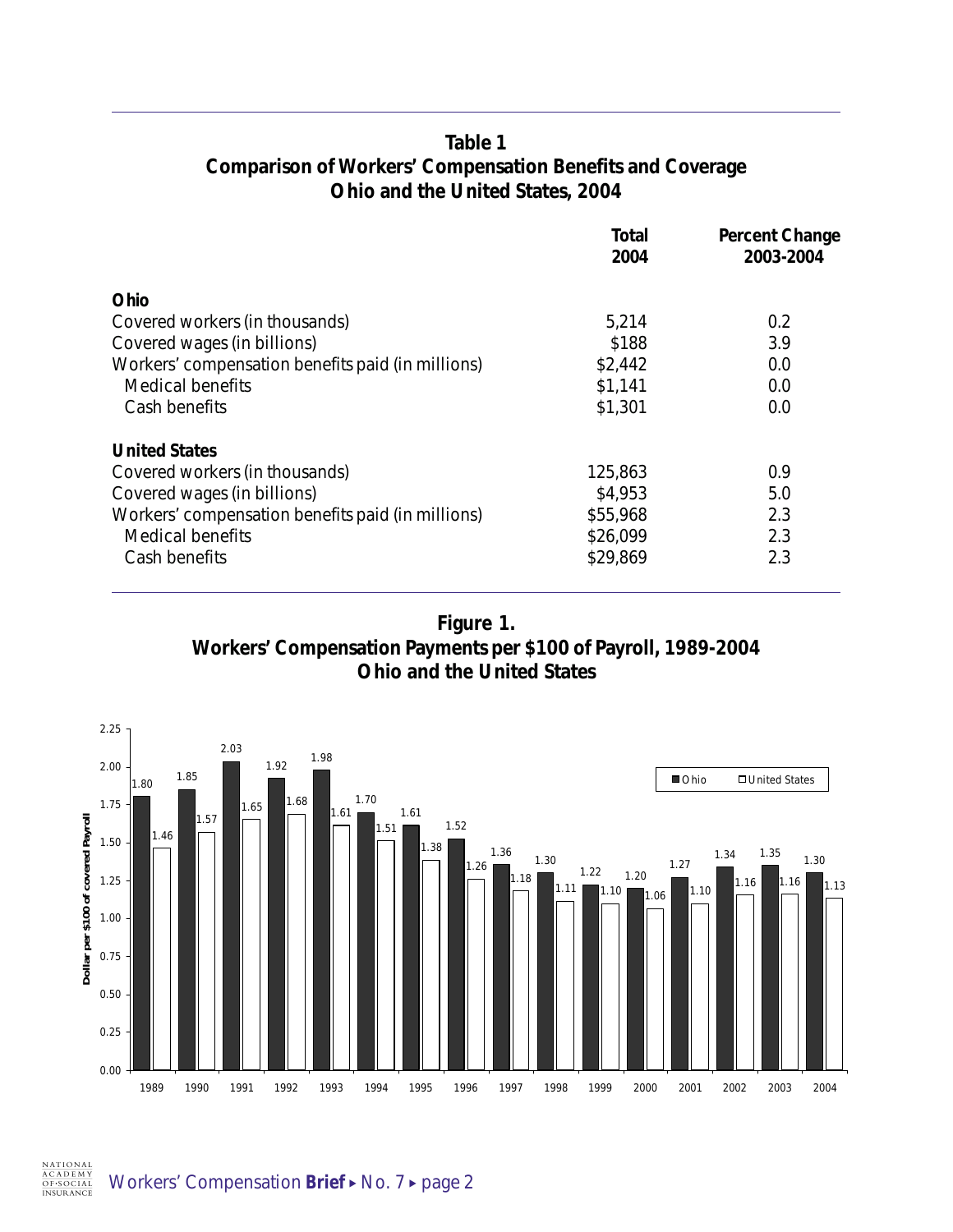#### **Table 1 Comparison of Workers' Compensation Benefits and Coverage Ohio and the United States, 2004**

|                                                   | Total<br>2004 | <b>Percent Change</b><br>2003-2004 |
|---------------------------------------------------|---------------|------------------------------------|
| Ohio                                              |               |                                    |
| Covered workers (in thousands)                    | 5,214         | 0.2                                |
| Covered wages (in billions)                       | \$188         | 3.9                                |
| Workers' compensation benefits paid (in millions) | \$2,442       | 0.0                                |
| Medical benefits                                  | \$1,141       | 0.0                                |
| Cash benefits                                     | \$1,301       | 0.0                                |
| <b>United States</b>                              |               |                                    |
| Covered workers (in thousands)                    | 125,863       | 0.9                                |
| Covered wages (in billions)                       | \$4,953       | 5.0                                |
| Workers' compensation benefits paid (in millions) | \$55,968      | 2.3                                |
| <b>Medical benefits</b>                           | \$26,099      | 2.3                                |
| Cash benefits                                     | \$29,869      | 2.3                                |

**Figure 1. Workers' Compensation Payments per \$100 of Payroll, 1989-2004 Ohio and the United States**

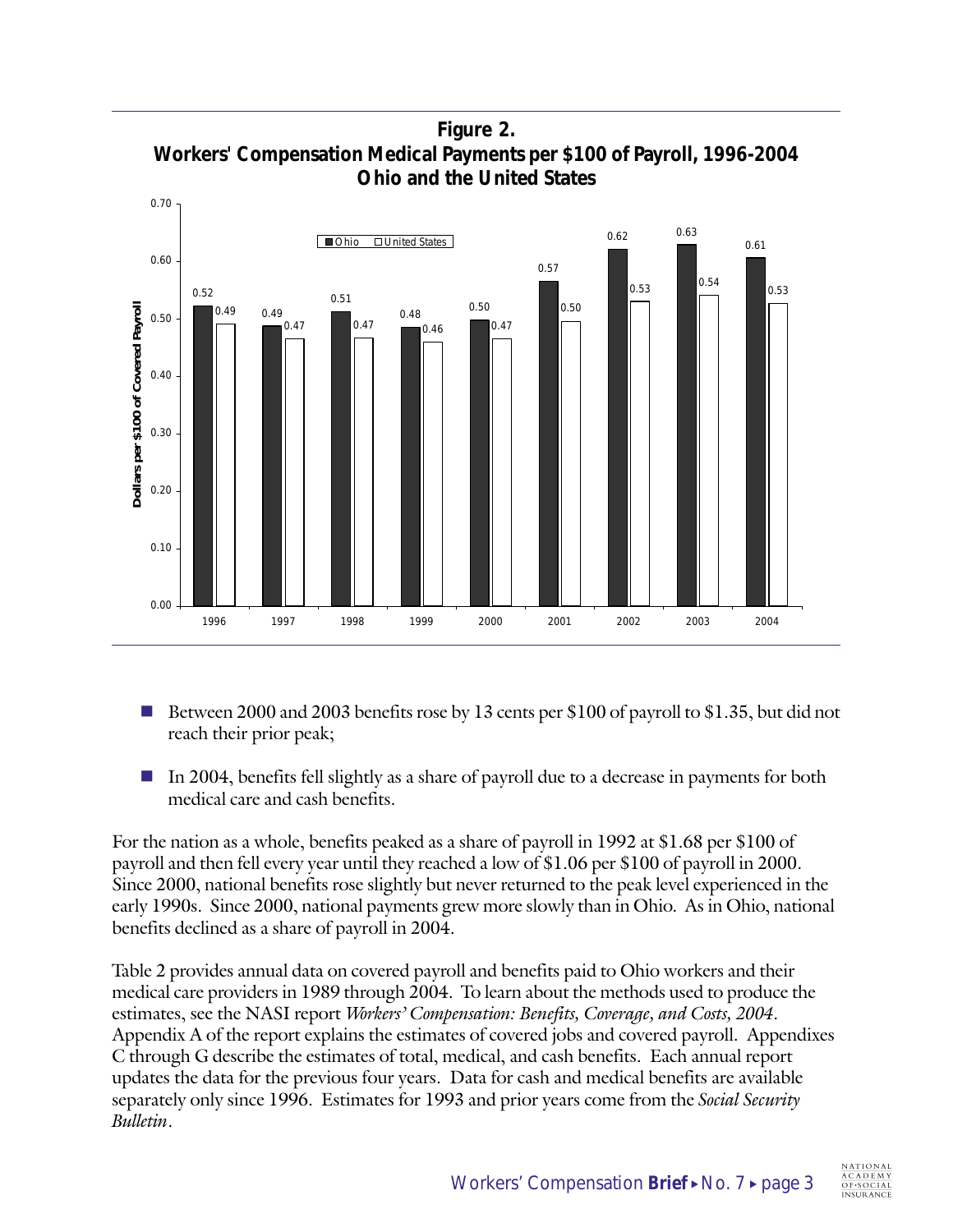**Figure 2. Workers' Compensation Medical Payments per \$100 of Payroll, 1996-2004 Ohio and the United States**



- Between 2000 and 2003 benefits rose by 13 cents per \$100 of payroll to \$1.35, but did not reach their prior peak;
- In 2004, benefits fell slightly as a share of payroll due to a decrease in payments for both medical care and cash benefits.

For the nation as a whole, benefits peaked as a share of payroll in 1992 at \$1.68 per \$100 of payroll and then fell every year until they reached a low of \$1.06 per \$100 of payroll in 2000. Since 2000, national benefits rose slightly but never returned to the peak level experienced in the early 1990s. Since 2000, national payments grew more slowly than in Ohio. As in Ohio, national benefits declined as a share of payroll in 2004.

Table 2 provides annual data on covered payroll and benefits paid to Ohio workers and their medical care providers in 1989 through 2004. To learn about the methods used to produce the estimates, see the NASI report *Workers' Compensation: Benefits, Coverage, and Costs, 2004*. Appendix A of the report explains the estimates of covered jobs and covered payroll. Appendixes C through G describe the estimates of total, medical, and cash benefits. Each annual report updates the data for the previous four years. Data for cash and medical benefits are available separately only since 1996. Estimates for 1993 and prior years come from the *Social Security Bulletin*.